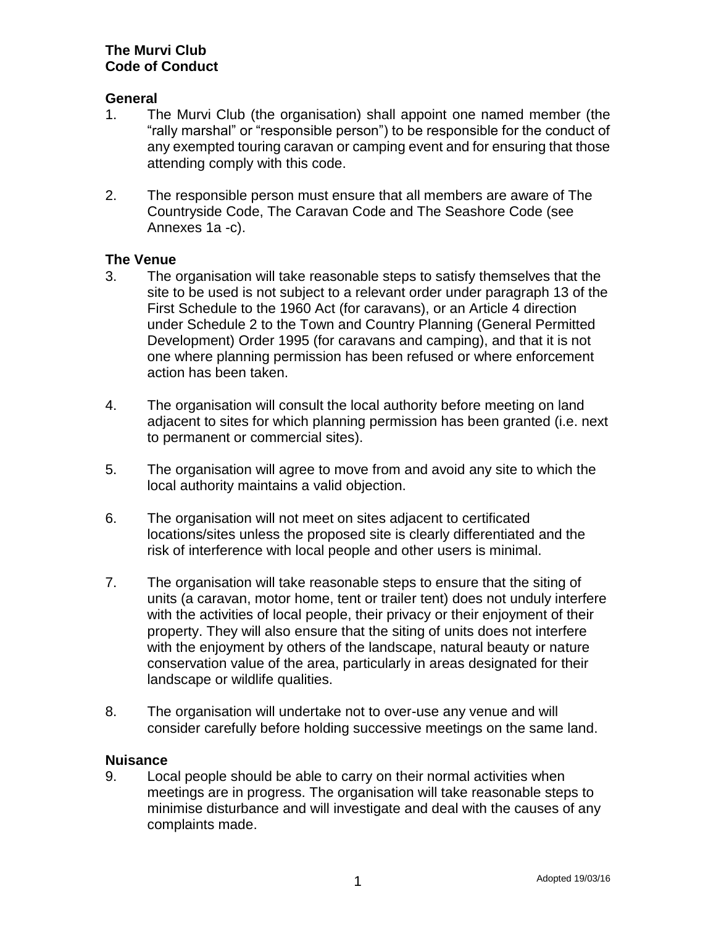#### **General**

- 1. The Murvi Club (the organisation) shall appoint one named member (the "rally marshal" or "responsible person") to be responsible for the conduct of any exempted touring caravan or camping event and for ensuring that those attending comply with this code.
- 2. The responsible person must ensure that all members are aware of The Countryside Code, The Caravan Code and The Seashore Code (see Annexes 1a -c).

#### **The Venue**

- 3. The organisation will take reasonable steps to satisfy themselves that the site to be used is not subject to a relevant order under paragraph 13 of the First Schedule to the 1960 Act (for caravans), or an Article 4 direction under Schedule 2 to the Town and Country Planning (General Permitted Development) Order 1995 (for caravans and camping), and that it is not one where planning permission has been refused or where enforcement action has been taken.
- 4. The organisation will consult the local authority before meeting on land adjacent to sites for which planning permission has been granted (i.e. next to permanent or commercial sites).
- 5. The organisation will agree to move from and avoid any site to which the local authority maintains a valid objection.
- 6. The organisation will not meet on sites adjacent to certificated locations/sites unless the proposed site is clearly differentiated and the risk of interference with local people and other users is minimal.
- 7. The organisation will take reasonable steps to ensure that the siting of units (a caravan, motor home, tent or trailer tent) does not unduly interfere with the activities of local people, their privacy or their enjoyment of their property. They will also ensure that the siting of units does not interfere with the enjoyment by others of the landscape, natural beauty or nature conservation value of the area, particularly in areas designated for their landscape or wildlife qualities.
- 8. The organisation will undertake not to over-use any venue and will consider carefully before holding successive meetings on the same land.

#### **Nuisance**

9. Local people should be able to carry on their normal activities when meetings are in progress. The organisation will take reasonable steps to minimise disturbance and will investigate and deal with the causes of any complaints made.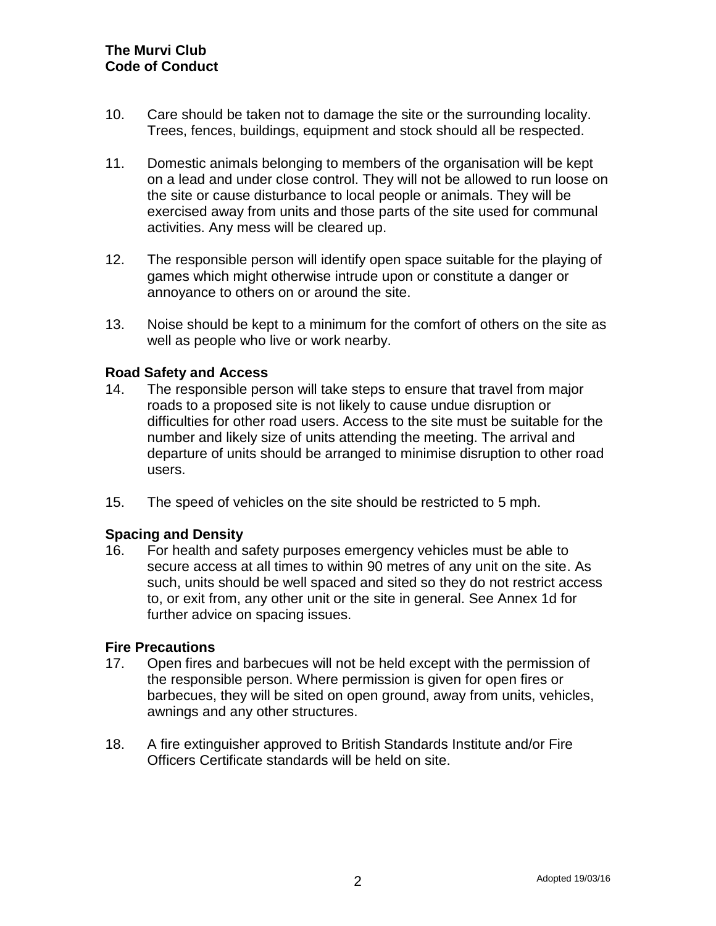- 10. Care should be taken not to damage the site or the surrounding locality. Trees, fences, buildings, equipment and stock should all be respected.
- 11. Domestic animals belonging to members of the organisation will be kept on a lead and under close control. They will not be allowed to run loose on the site or cause disturbance to local people or animals. They will be exercised away from units and those parts of the site used for communal activities. Any mess will be cleared up.
- 12. The responsible person will identify open space suitable for the playing of games which might otherwise intrude upon or constitute a danger or annoyance to others on or around the site.
- 13. Noise should be kept to a minimum for the comfort of others on the site as well as people who live or work nearby.

#### **Road Safety and Access**

- 14. The responsible person will take steps to ensure that travel from major roads to a proposed site is not likely to cause undue disruption or difficulties for other road users. Access to the site must be suitable for the number and likely size of units attending the meeting. The arrival and departure of units should be arranged to minimise disruption to other road users.
- 15. The speed of vehicles on the site should be restricted to 5 mph.

#### **Spacing and Density**

16. For health and safety purposes emergency vehicles must be able to secure access at all times to within 90 metres of any unit on the site. As such, units should be well spaced and sited so they do not restrict access to, or exit from, any other unit or the site in general. See Annex 1d for further advice on spacing issues.

#### **Fire Precautions**

- 17. Open fires and barbecues will not be held except with the permission of the responsible person. Where permission is given for open fires or barbecues, they will be sited on open ground, away from units, vehicles, awnings and any other structures.
- 18. A fire extinguisher approved to British Standards Institute and/or Fire Officers Certificate standards will be held on site.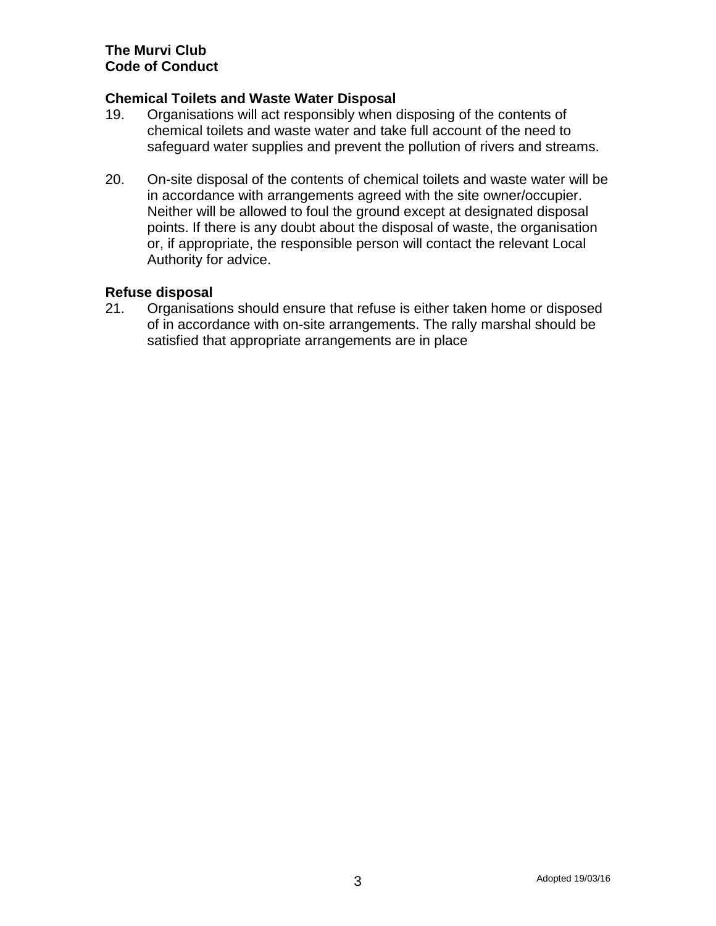#### **Chemical Toilets and Waste Water Disposal**

- 19. Organisations will act responsibly when disposing of the contents of chemical toilets and waste water and take full account of the need to safeguard water supplies and prevent the pollution of rivers and streams.
- 20. On-site disposal of the contents of chemical toilets and waste water will be in accordance with arrangements agreed with the site owner/occupier. Neither will be allowed to foul the ground except at designated disposal points. If there is any doubt about the disposal of waste, the organisation or, if appropriate, the responsible person will contact the relevant Local Authority for advice.

#### **Refuse disposal**

21. Organisations should ensure that refuse is either taken home or disposed of in accordance with on-site arrangements. The rally marshal should be satisfied that appropriate arrangements are in place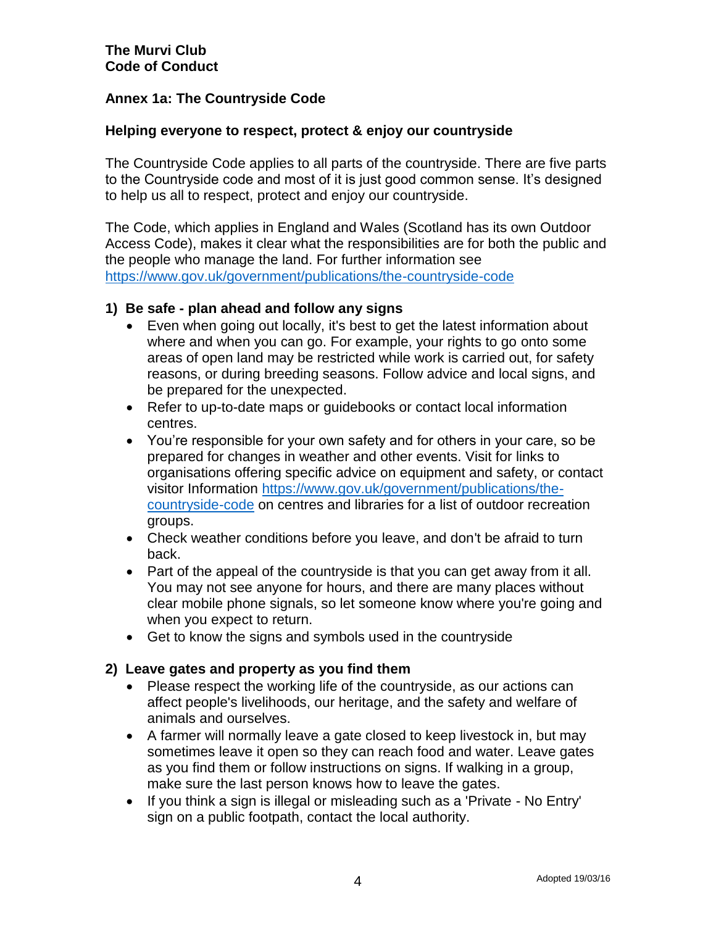## **Annex 1a: The Countryside Code**

#### **Helping everyone to respect, protect & enjoy our countryside**

The Countryside Code applies to all parts of the countryside. There are five parts to the Countryside code and most of it is just good common sense. It's designed to help us all to respect, protect and enjoy our countryside.

The Code, which applies in England and Wales (Scotland has its own Outdoor Access Code), makes it clear what the responsibilities are for both the public and the people who manage the land. For further information see <https://www.gov.uk/government/publications/the-countryside-code>

#### **1) Be safe - plan ahead and follow any signs**

- Even when going out locally, it's best to get the latest information about where and when you can go. For example, your rights to go onto some areas of open land may be restricted while work is carried out, for safety reasons, or during breeding seasons. Follow advice and local signs, and be prepared for the unexpected.
- Refer to up-to-date maps or guidebooks or contact local information centres.
- You're responsible for your own safety and for others in your care, so be prepared for changes in weather and other events. Visit for links to organisations offering specific advice on equipment and safety, or contact visitor Information [https://www.gov.uk/government/publications/the](https://www.gov.uk/government/publications/the-countryside-code)[countryside-code](https://www.gov.uk/government/publications/the-countryside-code) on centres and libraries for a list of outdoor recreation groups.
- Check weather conditions before you leave, and don't be afraid to turn back.
- Part of the appeal of the countryside is that you can get away from it all. You may not see anyone for hours, and there are many places without clear mobile phone signals, so let someone know where you're going and when you expect to return.
- Get to know the signs and symbols used in the countryside

#### **2) Leave gates and property as you find them**

- Please respect the working life of the countryside, as our actions can affect people's livelihoods, our heritage, and the safety and welfare of animals and ourselves.
- A farmer will normally leave a gate closed to keep livestock in, but may sometimes leave it open so they can reach food and water. Leave gates as you find them or follow instructions on signs. If walking in a group, make sure the last person knows how to leave the gates.
- If you think a sign is illegal or misleading such as a 'Private No Entry' sign on a public footpath, contact the local authority.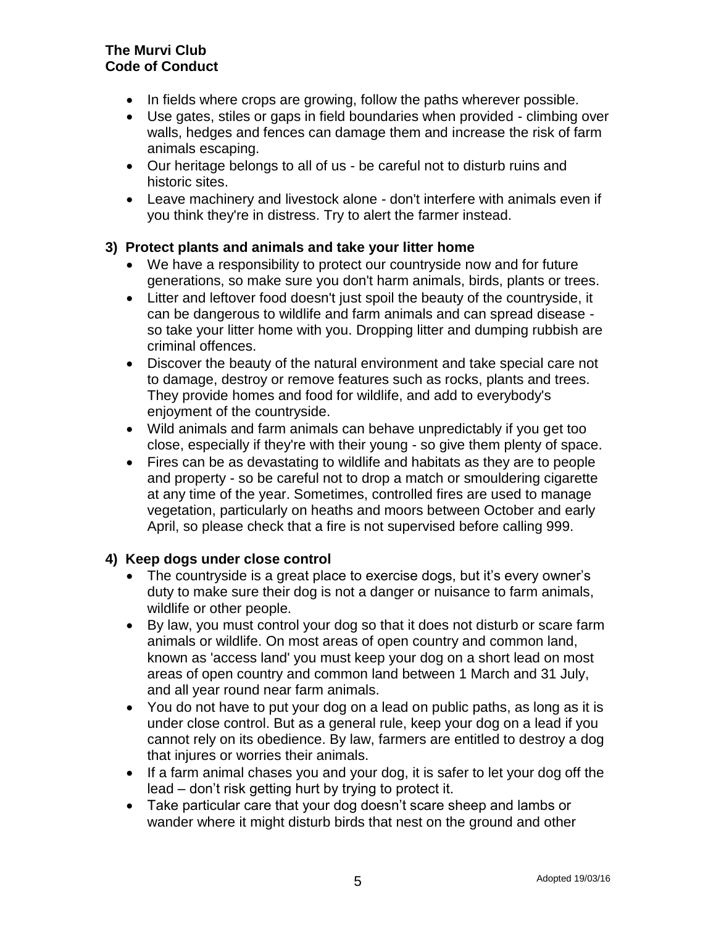- In fields where crops are growing, follow the paths wherever possible.
- Use gates, stiles or gaps in field boundaries when provided climbing over walls, hedges and fences can damage them and increase the risk of farm animals escaping.
- Our heritage belongs to all of us be careful not to disturb ruins and historic sites.
- Leave machinery and livestock alone don't interfere with animals even if you think they're in distress. Try to alert the farmer instead.

# **3) Protect plants and animals and take your litter home**

- We have a responsibility to protect our countryside now and for future generations, so make sure you don't harm animals, birds, plants or trees.
- Litter and leftover food doesn't just spoil the beauty of the countryside, it can be dangerous to wildlife and farm animals and can spread disease so take your litter home with you. Dropping litter and dumping rubbish are criminal offences.
- Discover the beauty of the natural environment and take special care not to damage, destroy or remove features such as rocks, plants and trees. They provide homes and food for wildlife, and add to everybody's enjoyment of the countryside.
- Wild animals and farm animals can behave unpredictably if you get too close, especially if they're with their young - so give them plenty of space.
- Fires can be as devastating to wildlife and habitats as they are to people and property - so be careful not to drop a match or smouldering cigarette at any time of the year. Sometimes, controlled fires are used to manage vegetation, particularly on heaths and moors between October and early April, so please check that a fire is not supervised before calling 999.

# **4) Keep dogs under close control**

- The countryside is a great place to exercise dogs, but it's every owner's duty to make sure their dog is not a danger or nuisance to farm animals, wildlife or other people.
- By law, you must control your dog so that it does not disturb or scare farm animals or wildlife. On most areas of open country and common land, known as 'access land' you must keep your dog on a short lead on most areas of open country and common land between 1 March and 31 July, and all year round near farm animals.
- You do not have to put your dog on a lead on public paths, as long as it is under close control. But as a general rule, keep your dog on a lead if you cannot rely on its obedience. By law, farmers are entitled to destroy a dog that injures or worries their animals.
- If a farm animal chases you and your dog, it is safer to let your dog off the lead – don't risk getting hurt by trying to protect it.
- Take particular care that your dog doesn't scare sheep and lambs or wander where it might disturb birds that nest on the ground and other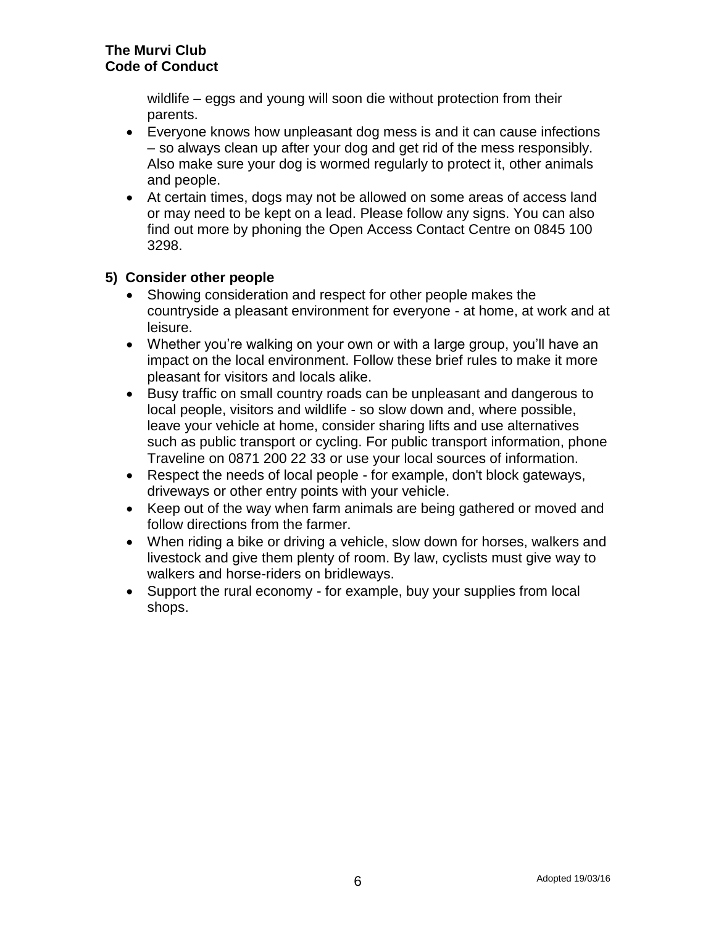wildlife – eggs and young will soon die without protection from their parents.

- Everyone knows how unpleasant dog mess is and it can cause infections – so always clean up after your dog and get rid of the mess responsibly. Also make sure your dog is wormed regularly to protect it, other animals and people.
- At certain times, dogs may not be allowed on some areas of access land or may need to be kept on a lead. Please follow any signs. You can also find out more by phoning the Open Access Contact Centre on 0845 100 3298.

# **5) Consider other people**

- Showing consideration and respect for other people makes the countryside a pleasant environment for everyone - at home, at work and at leisure.
- Whether you're walking on your own or with a large group, you'll have an impact on the local environment. Follow these brief rules to make it more pleasant for visitors and locals alike.
- Busy traffic on small country roads can be unpleasant and dangerous to local people, visitors and wildlife - so slow down and, where possible, leave your vehicle at home, consider sharing lifts and use alternatives such as public transport or cycling. For public transport information, phone Traveline on 0871 200 22 33 or use your local sources of information.
- Respect the needs of local people for example, don't block gateways, driveways or other entry points with your vehicle.
- Keep out of the way when farm animals are being gathered or moved and follow directions from the farmer.
- When riding a bike or driving a vehicle, slow down for horses, walkers and livestock and give them plenty of room. By law, cyclists must give way to walkers and horse-riders on bridleways.
- Support the rural economy for example, buy your supplies from local shops.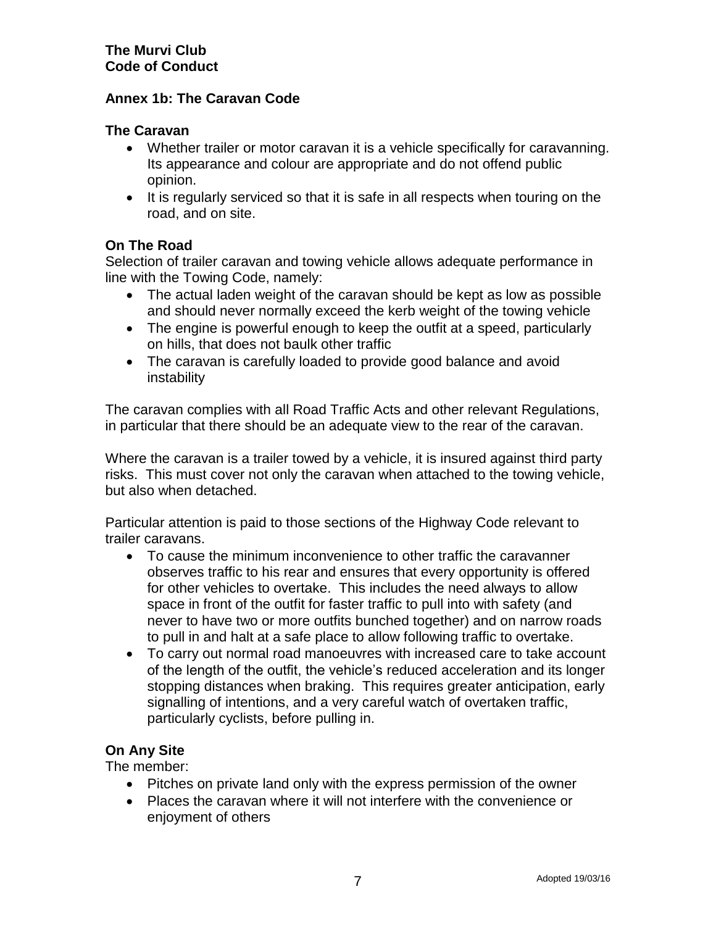### **Annex 1b: The Caravan Code**

#### **The Caravan**

- Whether trailer or motor caravan it is a vehicle specifically for caravanning. Its appearance and colour are appropriate and do not offend public opinion.
- It is regularly serviced so that it is safe in all respects when touring on the road, and on site.

### **On The Road**

Selection of trailer caravan and towing vehicle allows adequate performance in line with the Towing Code, namely:

- The actual laden weight of the caravan should be kept as low as possible and should never normally exceed the kerb weight of the towing vehicle
- The engine is powerful enough to keep the outfit at a speed, particularly on hills, that does not baulk other traffic
- The caravan is carefully loaded to provide good balance and avoid instability

The caravan complies with all Road Traffic Acts and other relevant Regulations, in particular that there should be an adequate view to the rear of the caravan.

Where the caravan is a trailer towed by a vehicle, it is insured against third party risks. This must cover not only the caravan when attached to the towing vehicle, but also when detached.

Particular attention is paid to those sections of the Highway Code relevant to trailer caravans.

- To cause the minimum inconvenience to other traffic the caravanner observes traffic to his rear and ensures that every opportunity is offered for other vehicles to overtake. This includes the need always to allow space in front of the outfit for faster traffic to pull into with safety (and never to have two or more outfits bunched together) and on narrow roads to pull in and halt at a safe place to allow following traffic to overtake.
- To carry out normal road manoeuvres with increased care to take account of the length of the outfit, the vehicle's reduced acceleration and its longer stopping distances when braking. This requires greater anticipation, early signalling of intentions, and a very careful watch of overtaken traffic, particularly cyclists, before pulling in.

# **On Any Site**

The member:

- Pitches on private land only with the express permission of the owner
- Places the caravan where it will not interfere with the convenience or enjoyment of others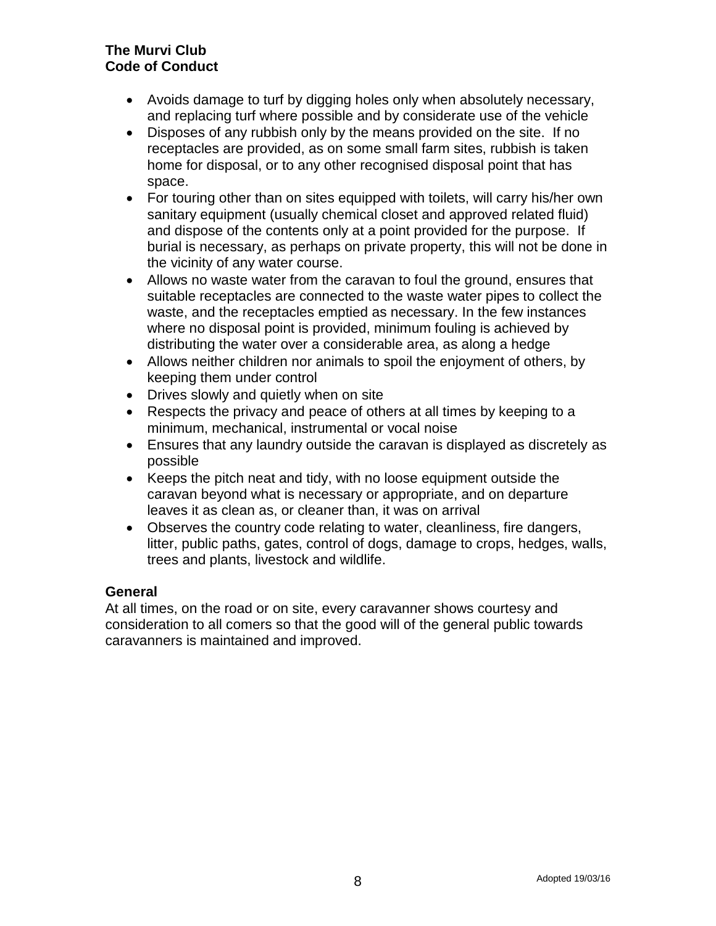- Avoids damage to turf by digging holes only when absolutely necessary, and replacing turf where possible and by considerate use of the vehicle
- Disposes of any rubbish only by the means provided on the site. If no receptacles are provided, as on some small farm sites, rubbish is taken home for disposal, or to any other recognised disposal point that has space.
- For touring other than on sites equipped with toilets, will carry his/her own sanitary equipment (usually chemical closet and approved related fluid) and dispose of the contents only at a point provided for the purpose. If burial is necessary, as perhaps on private property, this will not be done in the vicinity of any water course.
- Allows no waste water from the caravan to foul the ground, ensures that suitable receptacles are connected to the waste water pipes to collect the waste, and the receptacles emptied as necessary. In the few instances where no disposal point is provided, minimum fouling is achieved by distributing the water over a considerable area, as along a hedge
- Allows neither children nor animals to spoil the enjoyment of others, by keeping them under control
- Drives slowly and quietly when on site
- Respects the privacy and peace of others at all times by keeping to a minimum, mechanical, instrumental or vocal noise
- Ensures that any laundry outside the caravan is displayed as discretely as possible
- Keeps the pitch neat and tidy, with no loose equipment outside the caravan beyond what is necessary or appropriate, and on departure leaves it as clean as, or cleaner than, it was on arrival
- Observes the country code relating to water, cleanliness, fire dangers, litter, public paths, gates, control of dogs, damage to crops, hedges, walls, trees and plants, livestock and wildlife.

#### **General**

At all times, on the road or on site, every caravanner shows courtesy and consideration to all comers so that the good will of the general public towards caravanners is maintained and improved.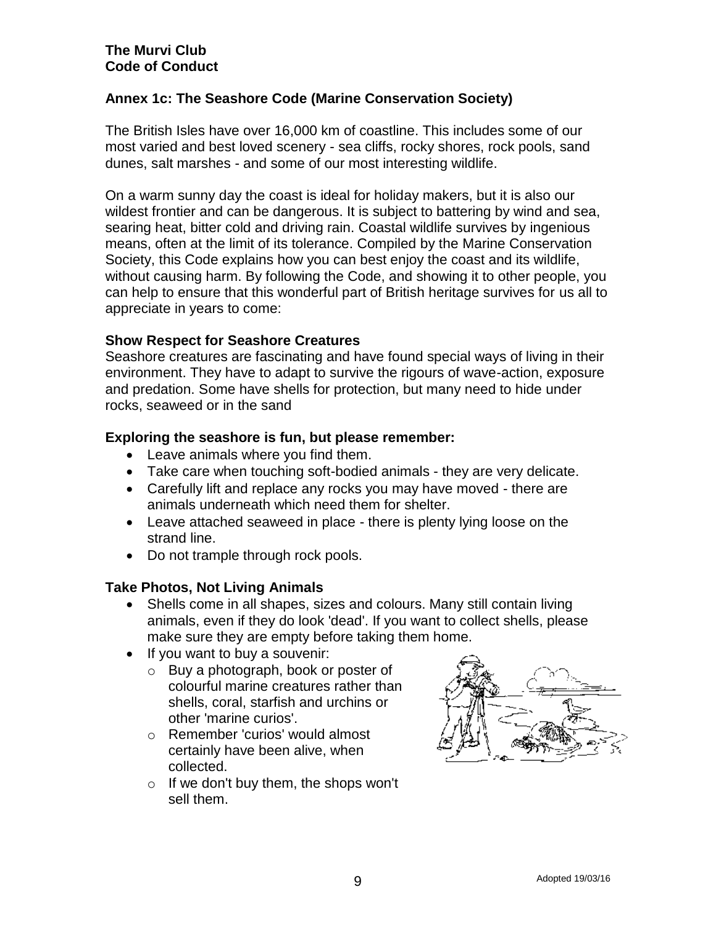# **Annex 1c: The Seashore Code (Marine Conservation Society)**

The British Isles have over 16,000 km of coastline. This includes some of our most varied and best loved scenery - sea cliffs, rocky shores, rock pools, sand dunes, salt marshes - and some of our most interesting wildlife.

On a warm sunny day the coast is ideal for holiday makers, but it is also our wildest frontier and can be dangerous. It is subject to battering by wind and sea, searing heat, bitter cold and driving rain. Coastal wildlife survives by ingenious means, often at the limit of its tolerance. Compiled by the Marine Conservation Society, this Code explains how you can best enjoy the coast and its wildlife, without causing harm. By following the Code, and showing it to other people, you can help to ensure that this wonderful part of British heritage survives for us all to appreciate in years to come:

#### **Show Respect for Seashore Creatures**

Seashore creatures are fascinating and have found special ways of living in their environment. They have to adapt to survive the rigours of wave-action, exposure and predation. Some have shells for protection, but many need to hide under rocks, seaweed or in the sand

#### **Exploring the seashore is fun, but please remember:**

- Leave animals where you find them.
- Take care when touching soft-bodied animals they are very delicate.
- Carefully lift and replace any rocks you may have moved there are animals underneath which need them for shelter.
- Leave attached seaweed in place there is plenty lying loose on the strand line.
- Do not trample through rock pools.

#### **Take Photos, Not Living Animals**

- Shells come in all shapes, sizes and colours. Many still contain living animals, even if they do look 'dead'. If you want to collect shells, please make sure they are empty before taking them home.
- If you want to buy a souvenir:
	- o Buy a photograph, book or poster of colourful marine creatures rather than shells, coral, starfish and urchins or other 'marine curios'.
	- o Remember 'curios' would almost certainly have been alive, when collected.
	- $\circ$  If we don't buy them, the shops won't sell them.

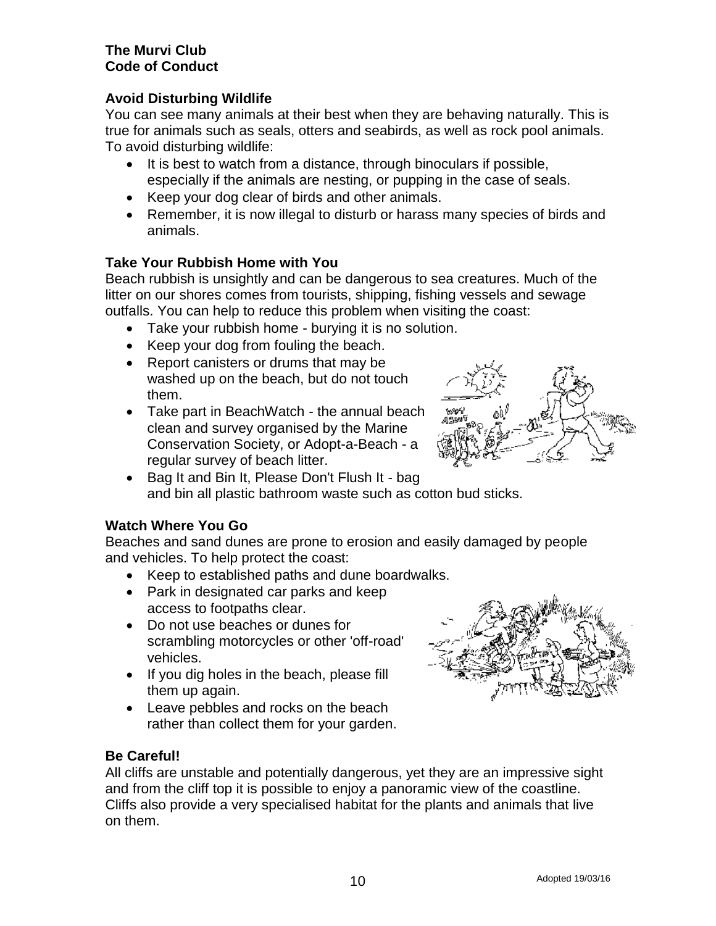# **Avoid Disturbing Wildlife**

You can see many animals at their best when they are behaving naturally. This is true for animals such as seals, otters and seabirds, as well as rock pool animals. To avoid disturbing wildlife:

- It is best to watch from a distance, through binoculars if possible, especially if the animals are nesting, or pupping in the case of seals.
- Keep your dog clear of birds and other animals.
- Remember, it is now illegal to disturb or harass many species of birds and animals.

# **Take Your Rubbish Home with You**

Beach rubbish is unsightly and can be dangerous to sea creatures. Much of the litter on our shores comes from tourists, shipping, fishing vessels and sewage outfalls. You can help to reduce this problem when visiting the coast:

- Take your rubbish home burying it is no solution.
- Keep your dog from fouling the beach.
- Report canisters or drums that may be washed up on the beach, but do not touch them.
- Take part in BeachWatch the annual beach clean and survey organised by the Marine Conservation Society, or Adopt-a-Beach - a regular survey of beach litter.



• Bag It and Bin It, Please Don't Flush It - bag and bin all plastic bathroom waste such as cotton bud sticks.

# **Watch Where You Go**

Beaches and sand dunes are prone to erosion and easily damaged by people and vehicles. To help protect the coast:

- Keep to established paths and dune boardwalks.
- Park in designated car parks and keep access to footpaths clear.
- Do not use beaches or dunes for scrambling motorcycles or other 'off-road' vehicles.
- If you dig holes in the beach, please fill them up again.
- Leave pebbles and rocks on the beach rather than collect them for your garden.

# **Be Careful!**

All cliffs are unstable and potentially dangerous, yet they are an impressive sight and from the cliff top it is possible to enjoy a panoramic view of the coastline. Cliffs also provide a very specialised habitat for the plants and animals that live on them.

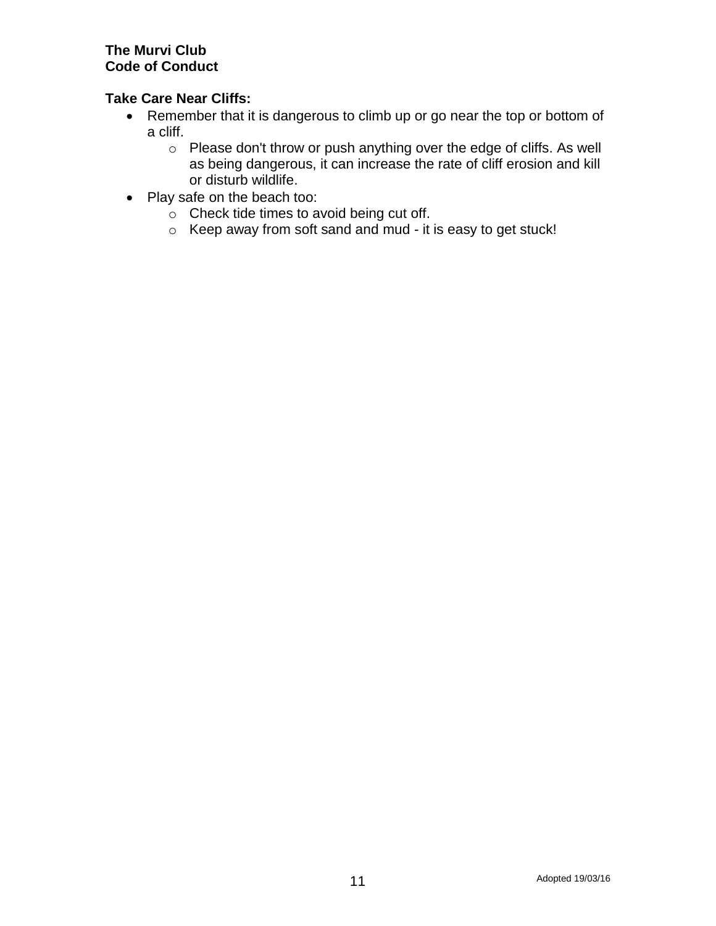# **Take Care Near Cliffs:**

- Remember that it is dangerous to climb up or go near the top or bottom of a cliff.
	- o Please don't throw or push anything over the edge of cliffs. As well as being dangerous, it can increase the rate of cliff erosion and kill or disturb wildlife.
- Play safe on the beach too:
	- $\circ$  Check tide times to avoid being cut off.
	- o Keep away from soft sand and mud it is easy to get stuck!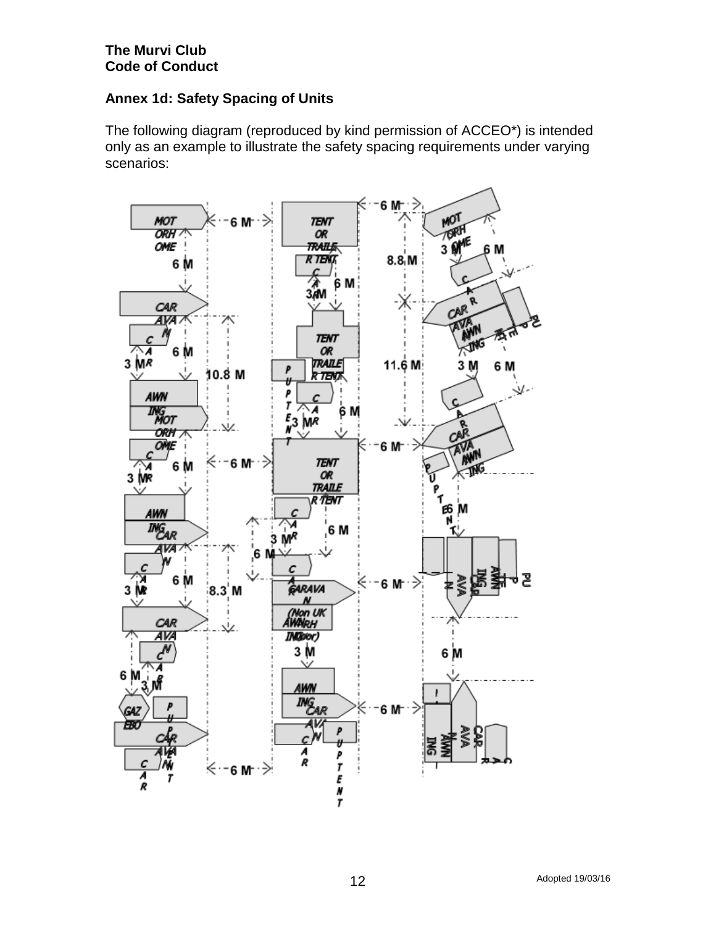# **Annex 1d: Safety Spacing of Units**

The following diagram (reproduced by kind permission of ACCEO\*) is intended only as an example to illustrate the safety spacing requirements under varying scenarios: